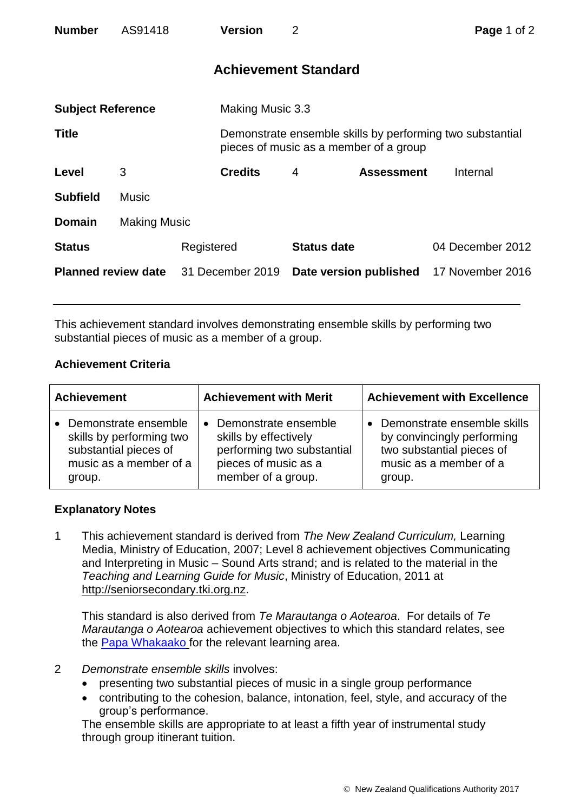| <b>Number</b>              | AS91418             |                  | <b>Version</b>              | 2                  |                                                                                                     | Page 1 of 2      |  |
|----------------------------|---------------------|------------------|-----------------------------|--------------------|-----------------------------------------------------------------------------------------------------|------------------|--|
|                            |                     |                  | <b>Achievement Standard</b> |                    |                                                                                                     |                  |  |
| <b>Subject Reference</b>   |                     |                  | Making Music 3.3            |                    |                                                                                                     |                  |  |
| <b>Title</b>               |                     |                  |                             |                    | Demonstrate ensemble skills by performing two substantial<br>pieces of music as a member of a group |                  |  |
| Level                      | 3                   |                  | <b>Credits</b>              | 4                  | <b>Assessment</b>                                                                                   | Internal         |  |
| <b>Subfield</b>            | <b>Music</b>        |                  |                             |                    |                                                                                                     |                  |  |
| <b>Domain</b>              | <b>Making Music</b> |                  |                             |                    |                                                                                                     |                  |  |
| <b>Status</b>              |                     | Registered       |                             | <b>Status date</b> |                                                                                                     | 04 December 2012 |  |
| <b>Planned review date</b> |                     | 31 December 2019 |                             |                    | Date version published                                                                              | 17 November 2016 |  |

This achievement standard involves demonstrating ensemble skills by performing two substantial pieces of music as a member of a group.

## **Achievement Criteria**

| <b>Achievement</b>       | <b>Achievement with Merit</b> | <b>Achievement with Excellence</b> |  |
|--------------------------|-------------------------------|------------------------------------|--|
| Demonstrate ensemble     | • Demonstrate ensemble        | Demonstrate ensemble skills        |  |
| skills by performing two | skills by effectively         | by convincingly performing         |  |
| substantial pieces of    | performing two substantial    | two substantial pieces of          |  |
| music as a member of a   | pieces of music as a          | music as a member of a             |  |
| group.                   | member of a group.            | group.                             |  |

## **Explanatory Notes**

1 This achievement standard is derived from *The New Zealand Curriculum,* Learning Media, Ministry of Education, 2007; Level 8 achievement objectives Communicating and Interpreting in Music – Sound Arts strand; and is related to the material in the *Teaching and Learning Guide for Music*, Ministry of Education, 2011 at [http://seniorsecondary.tki.org.nz.](http://seniorsecondary.tki.org.nz/)

This standard is also derived from *Te Marautanga o Aotearoa*. For details of *Te Marautanga o Aotearoa* achievement objectives to which this standard relates, see the [Papa Whakaako](http://tmoa.tki.org.nz/Te-Marautanga-o-Aotearoa/Taumata-Matauranga-a-Motu-Ka-Taea) for the relevant learning area.

- 2 *Demonstrate ensemble skills* involves:
	- presenting two substantial pieces of music in a single group performance
	- contributing to the cohesion, balance, intonation, feel, style, and accuracy of the group's performance.

The ensemble skills are appropriate to at least a fifth year of instrumental study through group itinerant tuition.